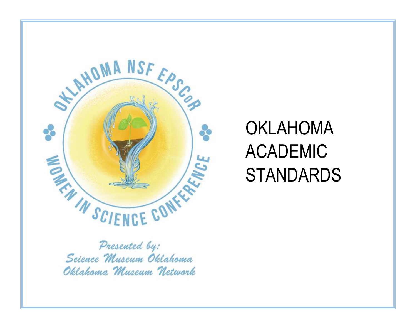

# OKLAHOMA ACADEMIC **STANDARDS**

Presented by: Science Museum Oklahoma Oklahoma Museum Network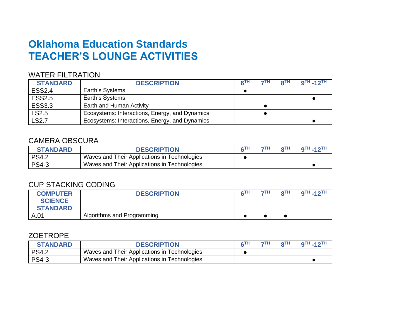# **Oklahoma Education Standards TEACHER'S LOUNGE ACTIVITIES**

#### WATER FILTRATION

| <b>STANDARD</b> | <b>DESCRIPTION</b>                             | <b>ATH</b> | 7TH. | ΩTH | $9TH - 12TH$ |
|-----------------|------------------------------------------------|------------|------|-----|--------------|
| <b>ESS2.4</b>   | Earth's Systems                                |            |      |     |              |
| <b>ESS2.5</b>   | Earth's Systems                                |            |      |     |              |
| <b>ESS3.3</b>   | Earth and Human Activity                       |            |      |     |              |
| LS2.5           | Ecosystems: Interactions, Energy, and Dynamics |            |      |     |              |
| <b>LS2.7</b>    | Ecosystems: Interactions, Energy, and Dynamics |            |      |     |              |

## CAMERA OBSCURA

| <b>STANDARD</b> | <b>DESCRIPTION</b>                           | 7TH | $QTH - 12TH$ |
|-----------------|----------------------------------------------|-----|--------------|
| <b>PS4.2</b>    | Waves and Their Applications in Technologies |     |              |
| <b>PS4-3</b>    | Waves and Their Applications in Technologies |     |              |

## CUP STACKING CODING

| <b>COMPUTER</b><br><b>SCIENCE</b> | <b>DESCRIPTION</b>         | 7TH | oTH | $9$ TH $-12$ TH |
|-----------------------------------|----------------------------|-----|-----|-----------------|
| <b>STANDARD</b>                   |                            |     |     |                 |
| A.01                              | Algorithms and Programming |     |     |                 |

#### ZOETROPE

| <b>STANDARD</b> | <b>DESCRIPTION</b>                           | 7TH | QTH | $9TH - 12TH$ |
|-----------------|----------------------------------------------|-----|-----|--------------|
| <b>PS4.2</b>    | Waves and Their Applications in Technologies |     |     |              |
| <b>PS4-3</b>    | Waves and Their Applications in Technologies |     |     |              |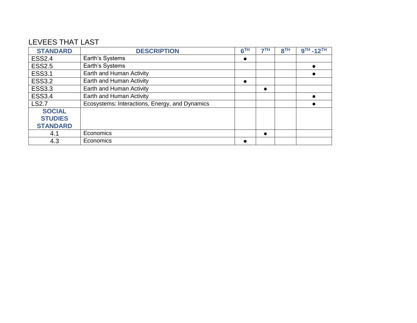## LEVEES THAT LAST

| <b>STANDARD</b> | <b>DESCRIPTION</b>                             | 6TH | 7TH | 8 <sup>TH</sup> | 9TH -12TH |
|-----------------|------------------------------------------------|-----|-----|-----------------|-----------|
| <b>ESS2.4</b>   | Earth's Systems                                |     |     |                 |           |
| <b>ESS2.5</b>   | Earth's Systems                                |     |     |                 |           |
| <b>ESS3.1</b>   | Earth and Human Activity                       |     |     |                 |           |
| <b>ESS3.2</b>   | Earth and Human Activity                       |     |     |                 |           |
| <b>ESS3.3</b>   | Earth and Human Activity                       |     |     |                 |           |
| <b>ESS3.4</b>   | Earth and Human Activity                       |     |     |                 |           |
| <b>LS2.7</b>    | Ecosystems: Interactions, Energy, and Dynamics |     |     |                 |           |
| <b>SOCIAL</b>   |                                                |     |     |                 |           |
| <b>STUDIES</b>  |                                                |     |     |                 |           |
| <b>STANDARD</b> |                                                |     |     |                 |           |
| 4.1             | Economics                                      |     |     |                 |           |
| 4.3             | Economics                                      |     |     |                 |           |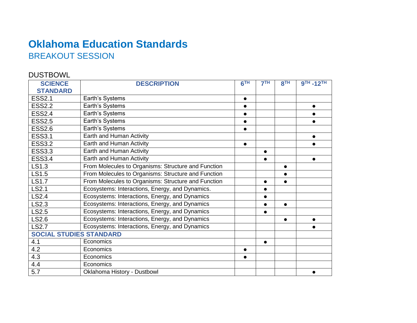## **Oklahoma Education Standards** BREAKOUT SESSION

## DUSTBOWL

| <b>SCIENCE</b>                 | <b>DESCRIPTION</b>                                  | 6 <sup>TH</sup> | 7 <sup>TH</sup> | 8 <sup>TH</sup> | $9TH - 12TH$ |
|--------------------------------|-----------------------------------------------------|-----------------|-----------------|-----------------|--------------|
| <b>STANDARD</b>                |                                                     |                 |                 |                 |              |
| <b>ESS2.1</b>                  | Earth's Systems                                     | $\bullet$       |                 |                 |              |
| <b>ESS2.2</b>                  | Earth's Systems                                     | $\bullet$       |                 |                 | $\bullet$    |
| <b>ESS2.4</b>                  | Earth's Systems                                     |                 |                 |                 |              |
| <b>ESS2.5</b>                  | Earth's Systems                                     |                 |                 |                 |              |
| <b>ESS2.6</b>                  | Earth's Systems                                     |                 |                 |                 |              |
| <b>ESS3.1</b>                  | Earth and Human Activity                            |                 |                 |                 |              |
| <b>ESS3.2</b>                  | Earth and Human Activity                            | $\bullet$       |                 |                 |              |
| <b>ESS3.3</b>                  | Earth and Human Activity                            |                 | $\bullet$       |                 |              |
| <b>ESS3.4</b>                  | Earth and Human Activity                            |                 | $\bullet$       |                 | $\bullet$    |
| LS1.3                          | From Molecules to Organisms: Structure and Function |                 |                 | $\bullet$       |              |
| LS1.5                          | From Molecules to Organisms: Structure and Function |                 |                 |                 |              |
| <b>LS1.7</b>                   | From Molecules to Organisms: Structure and Function |                 |                 |                 |              |
| LS2.1                          | Ecosystems: Interactions, Energy, and Dynamics.     |                 | $\bullet$       |                 |              |
| LS2.4                          | Ecosystems: Interactions, Energy, and Dynamics      |                 | $\bullet$       |                 |              |
| LS2.3                          | Ecosystems: Interactions, Energy, and Dynamics      |                 | $\bullet$       | $\bullet$       |              |
| LS2.5                          | Ecosystems: Interactions, Energy, and Dynamics      |                 | $\bullet$       |                 |              |
| LS2.6                          | Ecosystems: Interactions, Energy, and Dynamics      |                 |                 | $\bullet$       | $\bullet$    |
| <b>LS2.7</b>                   | Ecosystems: Interactions, Energy, and Dynamics      |                 |                 |                 |              |
| <b>SOCIAL STUDIES STANDARD</b> |                                                     |                 |                 |                 |              |
| 4.1                            | Economics                                           |                 | $\bullet$       |                 |              |
| 4.2                            | Economics                                           | $\bullet$       |                 |                 |              |
| 4.3                            | Economics                                           |                 |                 |                 |              |
| 4.4                            | Economics                                           |                 |                 |                 |              |
| 5.7                            | Oklahoma History - Dustbowl                         |                 |                 |                 |              |